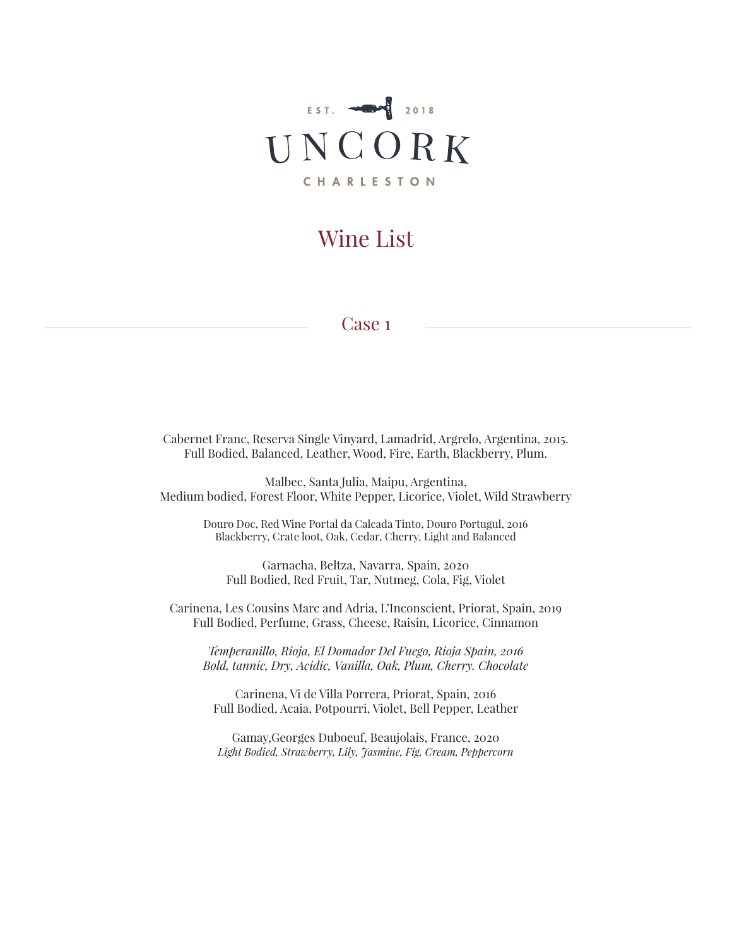

#### Case 1

Cabernet Franc, Reserva Single Vinyard, Lamadrid, Argrelo, Argentina, 2015. Full Bodied, Balanced, Leather, Wood, Fire, Earth, Blackberry, Plum.

Malbec, Santa Julia, Maipu, Argentina, Medium bodied, Forest Floor, White Pepper, Licorice, Violet, Wild Strawberry

> Douro Doc, Red Wine Portal da Calcada Tinto, Douro Portugul, 2016 Blackberry, Crate loot, Oak, Cedar, Cherry, Light and Balanced

Garnacha, Beltza, Navarra, Spain, 2020 Full Bodied, Red Fruit, Tar, Nutmeg, Cola, Fig, Violet

Carinena, Les Cousins Marc and Adria, L'Inconscient, Priorat, Spain, 2019 Full Bodied, Perfume, Grass, Cheese, Raisin, Licorice, Cinnamon

*Temperanillo, Rioja, El Domador Del Fuego, Rioja Spain, 2016 Bold, tannic, Dry, Acidic, Vanilla, Oak, Plum, Cherry. Chocolate*

Carinena, Vi de Villa Porrera, Priorat, Spain, 2016 Full Bodied, Acaia, Potpourri, Violet, Bell Pepper, Leather

Gamay,Georges Duboeuf, Beaujolais, France, 2020 *Light Bodied, Strawberry, Lily, Jasmine, Fig, Cream, Peppercorn*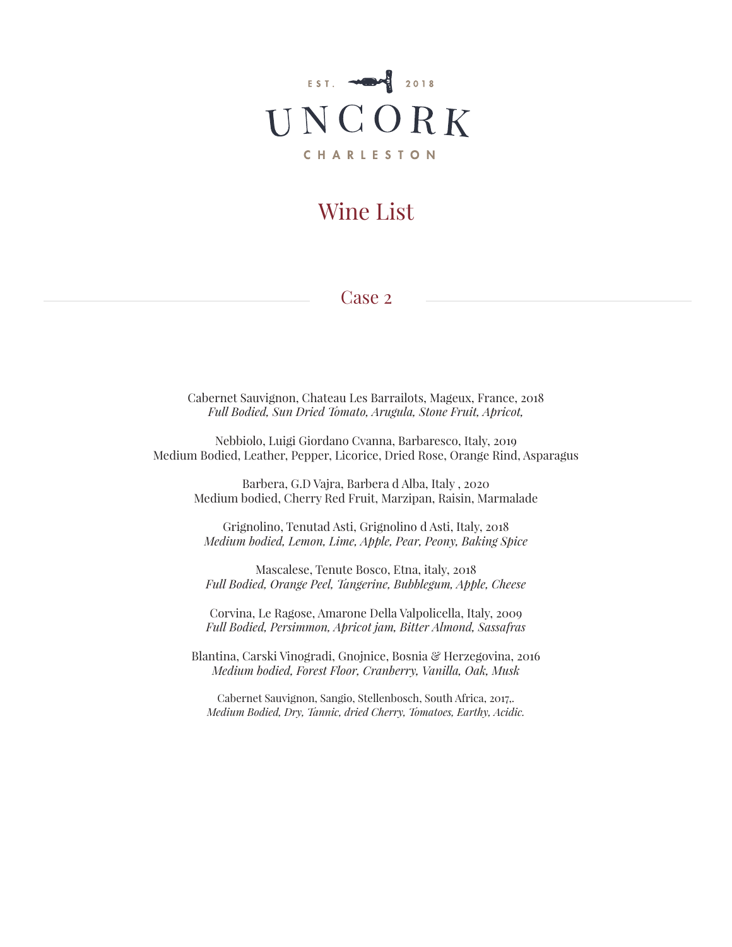

### Case 2

Cabernet Sauvignon, Chateau Les Barrailots, Mageux, France, 2018 *Full Bodied, Sun Dried Tomato, Arugula, Stone Fruit, Apricot,* 

Nebbiolo, Luigi Giordano Cvanna, Barbaresco, Italy, 2019 Medium Bodied, Leather, Pepper, Licorice, Dried Rose, Orange Rind, Asparagus

Barbera, G.D Vajra, Barbera d Alba, Italy , 2020 Medium bodied, Cherry Red Fruit, Marzipan, Raisin, Marmalade

Grignolino, Tenutad Asti, Grignolino d Asti, Italy, 2018 *Medium bodied, Lemon, Lime, Apple, Pear, Peony, Baking Spice*

Mascalese, Tenute Bosco, Etna, italy, 2018 *Full Bodied, Orange Peel, Tangerine, Bubblegum, Apple, Cheese*

Corvina, Le Ragose, Amarone Della Valpolicella, Italy, 2009 *Full Bodied, Persimmon, Apricot jam, Bitter Almond, Sassafras*

Blantina, Carski Vinogradi, Gnojnice, Bosnia & Herzegovina, 2016 *Medium bodied, Forest Floor, Cranberry, Vanilla, Oak, Musk*

Cabernet Sauvignon, Sangio, Stellenbosch, South Africa, 2017,. *Medium Bodied, Dry, Tannic, dried Cherry, Tomatoes, Earthy, Acidic.*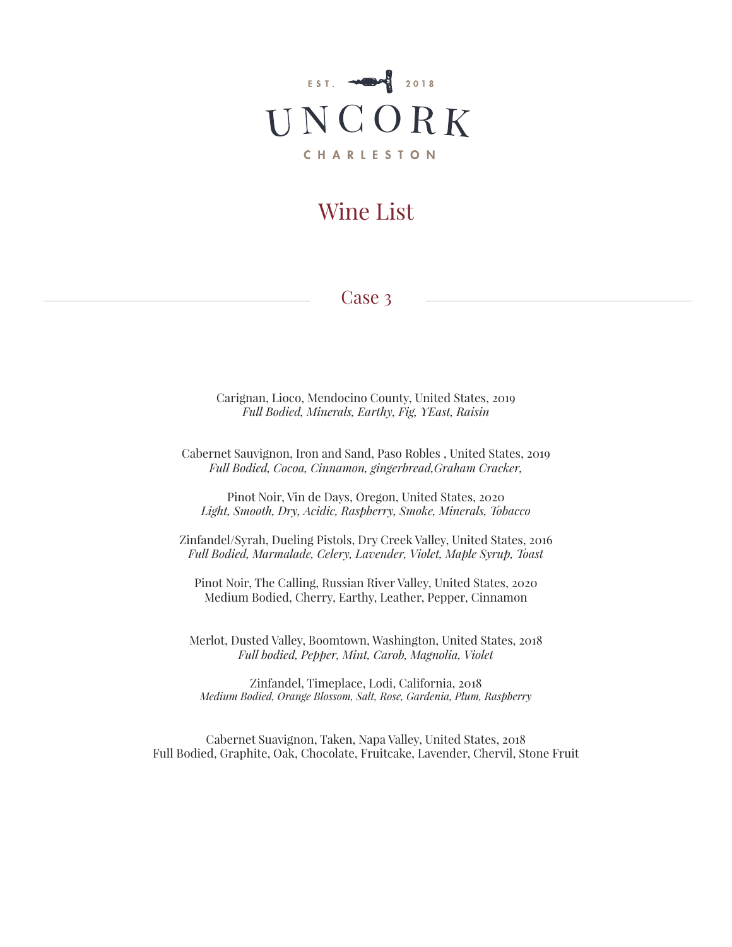

### Case 3

Carignan, Lioco, Mendocino County, United States, 2019 *Full Bodied, Minerals, Earthy, Fig, YEast, Raisin*

Cabernet Sauvignon, Iron and Sand, Paso Robles , United States, 2019 *Full Bodied, Cocoa, Cinnamon, gingerbread,Graham Cracker,* 

Pinot Noir, Vin de Days, Oregon, United States, 2020 *Light, Smooth, Dry, Acidic, Raspberry, Smoke, Minerals, Tobacco*

Zinfandel/Syrah, Dueling Pistols, Dry Creek Valley, United States, 2016 *Full Bodied, Marmalade, Celery, Lavender, Violet, Maple Syrup, Toast*

Pinot Noir, The Calling, Russian River Valley, United States, 2020 Medium Bodied, Cherry, Earthy, Leather, Pepper, Cinnamon

Merlot, Dusted Valley, Boomtown, Washington, United States, 2018 *Full bodied, Pepper, Mint, Carob, Magnolia, Violet*

Zinfandel, Timeplace, Lodi, California, 2018 *Medium Bodied, Orange Blossom, Salt, Rose, Gardenia, Plum, Raspberry*

Cabernet Suavignon, Taken, Napa Valley, United States, 2018 Full Bodied, Graphite, Oak, Chocolate, Fruitcake, Lavender, Chervil, Stone Fruit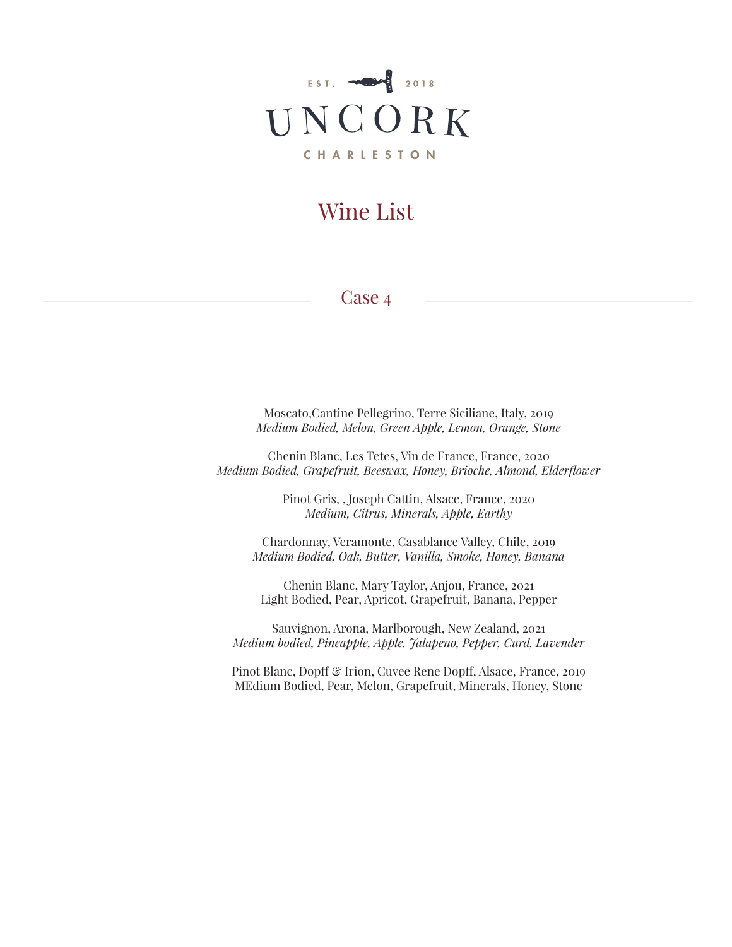

#### Case 4

Moscato,Cantine Pellegrino, Terre Siciliane, Italy, 2019 *Medium Bodied, Melon, Green Apple, Lemon, Orange, Stone*

Chenin Blanc, Les Tetes, Vin de France, France, 2020 *Medium Bodied, Grapefruit, Beeswax, Honey, Brioche, Almond, Elderflower*

> Pinot Gris, , Joseph Cattin, Alsace, France, 2020 *Medium, Citrus, Minerals, Apple, Earthy*

Chardonnay, Veramonte, Casablance Valley, Chile, 2019 *Medium Bodied, Oak, Butter, Vanilla, Smoke, Honey, Banana*

Chenin Blanc, Mary Taylor, Anjou, France, 2021 Light Bodied, Pear, Apricot, Grapefruit, Banana, Pepper

Sauvignon, Arona, Marlborough, New Zealand, 2021 *Medium bodied, Pineapple, Apple, Jalapeno, Pepper, Curd, Lavender*

Pinot Blanc, Dopff & Irion, Cuvee Rene Dopff, Alsace, France, 2019 MEdium Bodied, Pear, Melon, Grapefruit, Minerals, Honey, Stone